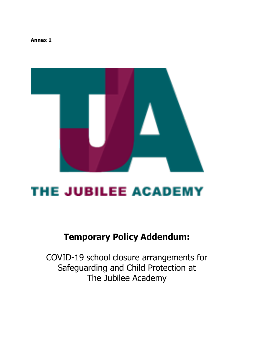**Annex 1** 



# **THE JUBILEE ACADEMY**

# **Temporary Policy Addendum:**

COVID-19 school closure arrangements for Safeguarding and Child Protection at The Jubilee Academy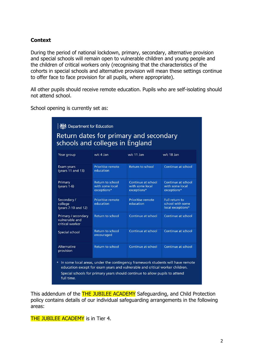## <span id="page-1-0"></span>**Context**

During the period of national lockdown, primary, secondary, alternative provision and special schools will remain open to vulnerable children and young people and the children of critical workers only (recognising that the characteristics of the cohorts in special schools and alternative provision will mean these settings continue to offer face to face provision for all pupils, where appropriate).

All other pupils should receive remote education. Pupils who are self-isolating should not attend school.

School opening is currently set as:

| Return dates for primary and secondary<br>schools and colleges in England                                                                                                                                                                                            |                                                    |                                                      |                                                         |  |  |
|----------------------------------------------------------------------------------------------------------------------------------------------------------------------------------------------------------------------------------------------------------------------|----------------------------------------------------|------------------------------------------------------|---------------------------------------------------------|--|--|
| Year group                                                                                                                                                                                                                                                           | w/c 4 Jan                                          | w/c 11 Jan                                           | w/c 18 Jan                                              |  |  |
| Exam years<br>(years 11 and 13)                                                                                                                                                                                                                                      | Prioritise remote<br>education                     | <b>Return to school</b>                              | Continue at school                                      |  |  |
| Primary<br>$(years 1-6)$                                                                                                                                                                                                                                             | Return to school<br>with some local<br>exceptions* | Continue at school<br>with some local<br>exceptions* | Continue at school<br>with some local<br>exceptions*    |  |  |
| Secondary /<br>college<br>(years 7-10 and 12)                                                                                                                                                                                                                        | Prioritise remote<br>education                     | Prioritise remote<br>education                       | Full return to<br>school with some<br>local exceptions* |  |  |
| Primary / secondary<br>vulnerable and<br>critical worker                                                                                                                                                                                                             | Return to school                                   | Continue at school                                   | Continue at school                                      |  |  |
| Special school                                                                                                                                                                                                                                                       | Return to school<br>encouraged                     | Continue at school                                   | Continue at school                                      |  |  |
| Alternative<br>provision                                                                                                                                                                                                                                             | Return to school                                   | Continue at school                                   | Continue at school                                      |  |  |
| In some local areas, under the contingency framework students will have remote<br>$\ast$<br>education except for exam years and vulnerable and critical worker children.<br>Special schools for primary years should continue to allow pupils to attend<br>full time |                                                    |                                                      |                                                         |  |  |

This addendum of the **THE JUBILEE ACADEMY** Safeguarding, and Child Protection policy contains details of our individual safeguarding arrangements in the following areas:

THE JUBILEE ACADEMY is in Tier 4.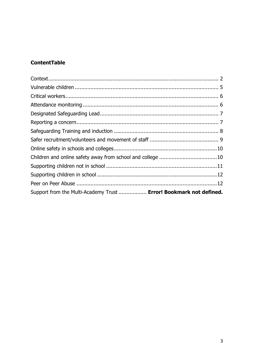# **ContentTable**

| Support from the Multi-Academy Trust  Error! Bookmark not defined. |  |
|--------------------------------------------------------------------|--|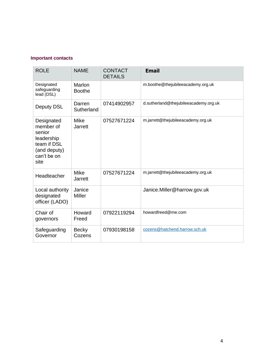#### **Important contacts**

| <b>ROLE</b>                                                                                           | <b>NAME</b>                   | <b>CONTACT</b><br><b>DETAILS</b> | <b>Email</b>                          |
|-------------------------------------------------------------------------------------------------------|-------------------------------|----------------------------------|---------------------------------------|
| Designated<br>safeguarding<br>lead (DSL)                                                              | Marlon<br><b>Boothe</b>       |                                  | m.boothe@thejubileeacademy.org.uk     |
| Deputy DSL                                                                                            | Darren<br>Sutherland          | 07414902957                      | d.sutherland@thejubileeacademy.org.uk |
| Designated<br>member of<br>senior<br>leadership<br>team if DSL<br>(and deputy)<br>can't be on<br>site | <b>Mike</b><br><b>Jarrett</b> | 07527671224                      | m.jarrett@thejubileeacademy.org.uk    |
| Headteacher                                                                                           | <b>Mike</b><br><b>Jarrett</b> | 07527671224                      | m.jarrett@thejubileeacademy.org.uk    |
| Local authority<br>designated<br>officer (LADO)                                                       | Janice<br><b>Miller</b>       |                                  | Janice.Miller@harrow.gov.uk           |
| Chair of<br>governors                                                                                 | Howard<br>Freed               | 07922119294                      | howardfreed@me.com                    |
| Safeguarding<br>Governor                                                                              | <b>Becky</b><br>Cozens        | 07930198158                      | cozens@hatchend.harrow.sch.uk         |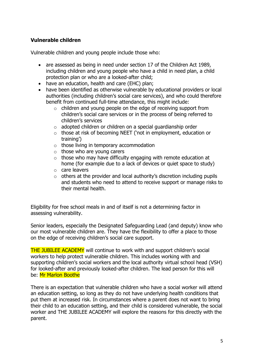## <span id="page-4-0"></span>**Vulnerable children**

Vulnerable children and young people include those who:

- are assessed as being in need under section 17 of the Children Act 1989, including children and young people who have a child in need plan, a child protection plan or who are a looked-after child;
- have an education, health and care (EHC) plan;
- have been identified as otherwise vulnerable by educational providers or local authorities (including children's social care services), and who could therefore benefit from continued full-time attendance, this might include:
	- $\circ$  children and young people on the edge of receiving support from children's social care services or in the process of being referred to children's services
	- $\circ$  adopted children or children on a special quardianship order
	- o those at risk of becoming NEET ('not in employment, education or training')
	- o those living in temporary accommodation
	- $\circ$  those who are young carers
	- $\circ$  those who may have difficulty engaging with remote education at home (for example due to a lack of devices or quiet space to study)
	- o care leavers
	- $\circ$  others at the provider and local authority's discretion including pupils and students who need to attend to receive support or manage risks to their mental health.

Eligibility for free school meals in and of itself is not a determining factor in assessing vulnerability.

Senior leaders, especially the Designated Safeguarding Lead (and deputy) know who our most vulnerable children are. They have the flexibility to offer a place to those on the edge of receiving children's social care support.

THE JUBILEE ACADEMY will continue to work with and support children's social workers to help protect vulnerable children. This includes working with and supporting children's social workers and the local authority virtual school head (VSH) for looked-after and previously looked-after children. The lead person for this will be: Mr Marlon Boothe

There is an expectation that vulnerable children who have a social worker will attend an education setting, so long as they do not have underlying health conditions that put them at increased risk. In circumstances where a parent does not want to bring their child to an education setting, and their child is considered vulnerable, the social worker and THE JUBILEE ACADEMY will explore the reasons for this directly with the parent.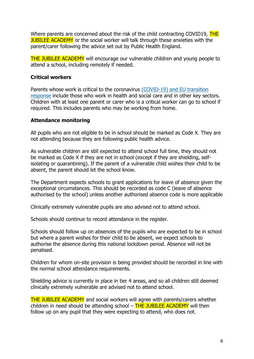Where parents are concerned about the risk of the child contracting COVID19, THE **JUBILEE ACADEMY** or the social worker will talk through these anxieties with the parent/carer following the advice set out by Public Health England.

THE JUBILEE ACADEMY will encourage our vulnerable children and young people to attend a school, including remotely if needed.

#### <span id="page-5-0"></span>**Critical workers**

Parents whose work is critical to the coronavirus [\(COVID-19\) and EU transition](https://www.gov.uk/government/publications/coronavirus-covid-19-maintaining-educational-provision/guidance-for-schools-colleges-and-local-authorities-on-maintaining-educational-provision)  [response](https://www.gov.uk/government/publications/coronavirus-covid-19-maintaining-educational-provision/guidance-for-schools-colleges-and-local-authorities-on-maintaining-educational-provision) include those who work in health and social care and in other key sectors. Children with at least one parent or carer who is a critical worker can go to school if required. This includes parents who may be working from home.

#### <span id="page-5-1"></span>**Attendance monitoring**

All pupils who are not eligible to be in school should be marked as Code X. They are not attending because they are following public health advice.

As vulnerable children are still expected to attend school full time, they should not be marked as Code X if they are not in school (except if they are shielding, selfisolating or quarantining). If the parent of a vulnerable child wishes their child to be absent, the parent should let the school know.

The Department expects schools to grant applications for leave of absence given the exceptional circumstances. This should be recorded as code C (leave of absence authorised by the school) unless another authorised absence code is more applicable

Clinically extremely vulnerable pupils are also advised not to attend school.

Schools should continue to record attendance in the register.

Schools should follow up on absences of the pupils who are expected to be in school but where a parent wishes for their child to be absent, we expect schools to authorise the absence during this national lockdown period. Absence will not be penalised.

Children for whom on-site provision is being provided should be recorded in line with the normal school attendance requirements.

Shielding advice is currently in place in tier 4 areas, and so all children still deemed clinically extremely vulnerable are advised not to attend school.

THE JUBILEE ACADEMY and social workers will agree with parents/carers whether children in need should be attending school  $-$  THE JUBILEE ACADEMY will then follow up on any pupil that they were expecting to attend, who does not.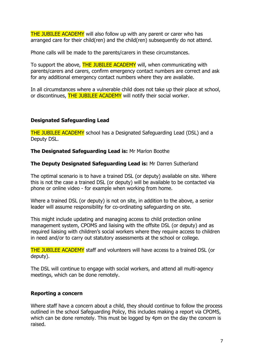**THE JUBILEE ACADEMY** will also follow up with any parent or carer who has arranged care for their child(ren) and the child(ren) subsequently do not attend.

Phone calls will be made to the parents/carers in these circumstances.

To support the above, **THE JUBILEE ACADEMY** will, when communicating with parents/carers and carers, confirm emergency contact numbers are correct and ask for any additional emergency contact numbers where they are available.

In all circumstances where a vulnerable child does not take up their place at school, or discontinues, THE JUBILEE ACADEMY will notify their social worker.

#### <span id="page-6-0"></span>**Designated Safeguarding Lead**

THE JUBILEE ACADEMY school has a Designated Safeguarding Lead (DSL) and a Deputy DSL.

**The Designated Safeguarding Lead is:** Mr Marlon Boothe

#### **The Deputy Designated Safeguarding Lead is:** Mr Darren Sutherland

The optimal scenario is to have a trained DSL (or deputy) available on site. Where this is not the case a trained DSL (or deputy) will be available to be contacted via phone or online video - for example when working from home.

Where a trained DSL (or deputy) is not on site, in addition to the above, a senior leader will assume responsibility for co-ordinating safeguarding on site.

This might include updating and managing access to child protection online management system, CPOMS and liaising with the offsite DSL (or deputy) and as required liaising with children's social workers where they require access to children in need and/or to carry out statutory assessments at the school or college.

THE JUBILEE ACADEMY staff and volunteers will have access to a trained DSL (or deputy).

The DSL will continue to engage with social workers, and attend all multi-agency meetings, which can be done remotely.

#### <span id="page-6-1"></span>**Reporting a concern**

Where staff have a concern about a child, they should continue to follow the process outlined in the school Safeguarding Policy, this includes making a report via CPOMS, which can be done remotely. This must be logged by 4pm on the day the concern is raised.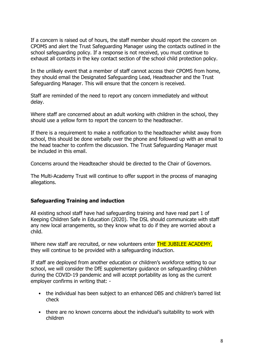If a concern is raised out of hours, the staff member should report the concern on CPOMS and alert the Trust Safeguarding Manager using the contacts outlined in the school safeguarding policy. If a response is not received, you must continue to exhaust all contacts in the key contact section of the school child protection policy.

In the unlikely event that a member of staff cannot access their CPOMS from home, they should email the Designated Safeguarding Lead, Headteacher and the Trust Safeguarding Manager. This will ensure that the concern is received.

Staff are reminded of the need to report any concern immediately and without delay.

Where staff are concerned about an adult working with children in the school, they should use a yellow form to report the concern to the headteacher.

If there is a requirement to make a notification to the headteacher whilst away from school, this should be done verbally over the phone and followed up with an email to the head teacher to confirm the discussion. The Trust Safeguarding Manager must be included in this email.

Concerns around the Headteacher should be directed to the Chair of Governors.

The Multi-Academy Trust will continue to offer support in the process of managing allegations.

#### <span id="page-7-0"></span>**Safeguarding Training and induction**

All existing school staff have had safeguarding training and have read part 1 of Keeping Children Safe in Education (2020). The DSL should communicate with staff any new local arrangements, so they know what to do if they are worried about a child.

Where new staff are recruited, or new volunteers enter **THE JUBILEE ACADEMY**, they will continue to be provided with a safeguarding induction.

If staff are deployed from another education or children's workforce setting to our school, we will consider the DfE supplementary guidance on safeguarding children during the COVID-19 pandemic and will accept portability as long as the current employer confirms in writing that: -

- the individual has been subject to an enhanced DBS and children's barred list check
- there are no known concerns about the individual's suitability to work with children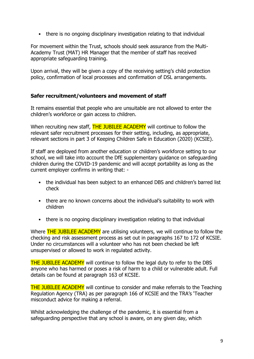• there is no ongoing disciplinary investigation relating to that individual

For movement within the Trust, schools should seek assurance from the Multi-Academy Trust (MAT) HR Manager that the member of staff has received appropriate safeguarding training.

<span id="page-8-0"></span>Upon arrival, they will be given a copy of the receiving setting's child protection policy, confirmation of local processes and confirmation of DSL arrangements.

#### **Safer recruitment/volunteers and movement of staff**

It remains essential that people who are unsuitable are not allowed to enter the children's workforce or gain access to children.

When recruiting new staff, **THE JUBILEE ACADEMY** will continue to follow the relevant safer recruitment processes for their setting, including, as appropriate, relevant sections in part 3 of Keeping Children Safe in Education (2020) (KCSIE).

If staff are deployed from another education or children's workforce setting to our school, we will take into account the DfE supplementary guidance on safeguarding children during the COVID-19 pandemic and will accept portability as long as the current employer confirms in writing that: -

- the individual has been subject to an enhanced DBS and children's barred list check
- there are no known concerns about the individual's suitability to work with children
- there is no ongoing disciplinary investigation relating to that individual

Where **THE JUBILEE ACADEMY** are utilising volunteers, we will continue to follow the checking and risk assessment process as set out in paragraphs 167 to 172 of KCSIE. Under no circumstances will a volunteer who has not been checked be left unsupervised or allowed to work in regulated activity.

THE JUBILEE ACADEMY will continue to follow the legal duty to refer to the DBS anyone who has harmed or poses a risk of harm to a child or vulnerable adult. Full details can be found at paragraph 163 of KCSIE.

THE JUBILEE ACADEMY will continue to consider and make referrals to the Teaching Regulation Agency (TRA) as per paragraph 166 of KCSIE and the TRA's 'Teacher misconduct advice for making a referral.

Whilst acknowledging the challenge of the pandemic, it is essential from a safeguarding perspective that any school is aware, on any given day, which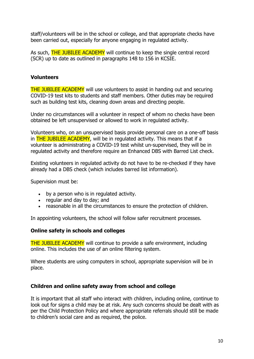staff/volunteers will be in the school or college, and that appropriate checks have been carried out, especially for anyone engaging in regulated activity.

As such, **THE JUBILEE ACADEMY** will continue to keep the single central record (SCR) up to date as outlined in paragraphs 148 to 156 in KCSIE.

#### <span id="page-9-0"></span>**Volunteers**

THE JUBILEE ACADEMY will use volunteers to assist in handing out and securing COVID-19 test kits to students and staff members. Other duties may be required such as building test kits, cleaning down areas and directing people.

Under no circumstances will a volunteer in respect of whom no checks have been obtained be left unsupervised or allowed to work in regulated activity.

Volunteers who, on an unsupervised basis provide personal care on a one-off basis in **THE JUBILEE ACADEMY**, will be in regulated activity. This means that if a volunteer is administrating a COVID-19 test whilst un-supervised, they will be in regulated activity and therefore require an Enhanced DBS with Barred List check.

Existing volunteers in regulated activity do not have to be re-checked if they have already had a DBS check (which includes barred list information).

Supervision must be:

- by a person who is in regulated activity.
- regular and day to day; and
- reasonable in all the circumstances to ensure the protection of children.

In appointing volunteers, the school will follow safer recruitment processes.

#### **Online safety in schools and colleges**

THE JUBILEE ACADEMY will continue to provide a safe environment, including online. This includes the use of an online filtering system.

Where students are using computers in school, appropriate supervision will be in place.

#### <span id="page-9-1"></span>**Children and online safety away from school and college**

It is important that all staff who interact with children, including online, continue to look out for signs a child may be at risk. Any such concerns should be dealt with as per the Child Protection Policy and where appropriate referrals should still be made to children's social care and as required, the police.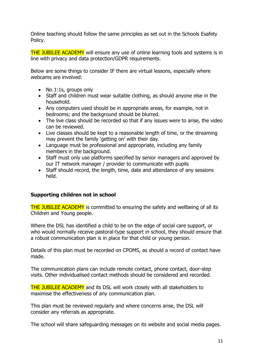Online teaching should follow the same principles as set out in the Schools Esafety Policy.

THE JUBILEE ACADEMY will ensure any use of online learning tools and systems is in line with privacy and data protection/GDPR requirements.

Below are some things to consider IF there are virtual lessons, especially where webcams are involved:

- No 1:1s, groups only
- Staff and children must wear suitable clothing, as should anyone else in the household.
- Any computers used should be in appropriate areas, for example, not in bedrooms; and the background should be blurred.
- The live class should be recorded so that if any issues were to arise, the video can be reviewed.
- Live classes should be kept to a reasonable length of time, or the streaming may prevent the family 'getting on' with their day.
- Language must be professional and appropriate, including any family members in the background.
- Staff must only use platforms specified by senior managers and approved by our IT network manager / provider to communicate with pupils
- Staff should record, the length, time, date and attendance of any sessions held.

#### <span id="page-10-0"></span>**Supporting children not in school**

THE JUBILEE ACADEMY is committed to ensuring the safety and wellbeing of all its Children and Young people.

Where the DSL has identified a child to be on the edge of social care support, or who would normally receive pastoral-type support in school, they should ensure that a robust communication plan is in place for that child or young person.

Details of this plan must be recorded on CPOMS, as should a record of contact have made.

The communication plans can include remote contact, phone contact, door-step visits. Other individualised contact methods should be considered and recorded.

THE JUBILEE ACADEMY and its DSL will work closely with all stakeholders to maximise the effectiveness of any communication plan.

This plan must be reviewed regularly and where concerns arise, the DSL will consider any referrals as appropriate.

The school will share safeguarding messages on its website and social media pages.